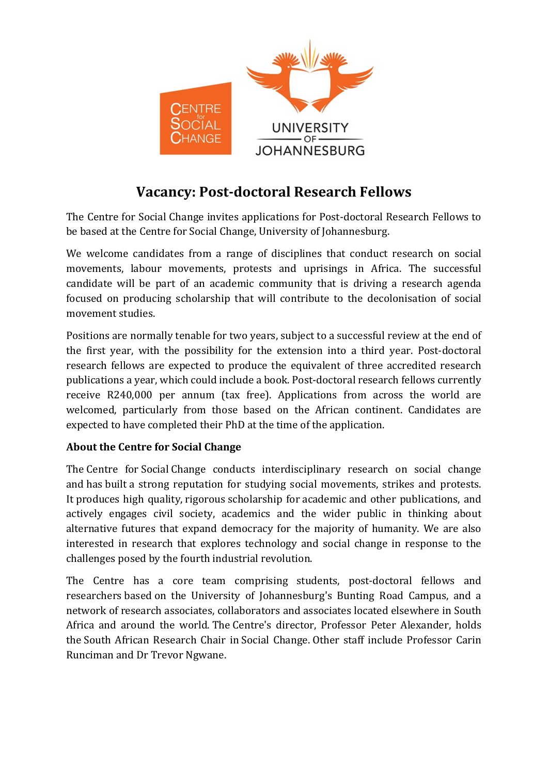

## **Vacancy: Post-doctoral Research Fellows**

The Centre for Social Change invites applications for Post-doctoral Research Fellows to be based at the Centre for Social Change, University of Johannesburg.

We welcome candidates from a range of disciplines that conduct research on social movements, labour movements, protests and uprisings in Africa. The successful candidate will be part of an academic community that is driving a research agenda focused on producing scholarship that will contribute to the decolonisation of social movement studies.

Positions are normally tenable for two years, subject to a successful review at the end of the first year, with the possibility for the extension into a third year. Post-doctoral research fellows are expected to produce the equivalent of three accredited research publications a year, which could include a book. Post-doctoral research fellows currently receive R240,000 per annum (tax free). Applications from across the world are welcomed, particularly from those based on the African continent. Candidates are expected to have completed their PhD at the time of the application.

## **About the Centre for Social Change**

The Centre for Social Change conducts interdisciplinary research on social change and has built a strong reputation for studying social movements, strikes and protests. It produces high quality, rigorous scholarship for academic and other publications, and actively engages civil society, academics and the wider public in thinking about alternative futures that expand democracy for the majority of humanity. We are also interested in research that explores technology and social change in response to the challenges posed by the fourth industrial revolution.

The Centre has a core team comprising students, post-doctoral fellows and researchers based on the University of Johannesburg's Bunting Road Campus, and a network of research associates, collaborators and associates located elsewhere in South Africa and around the world. The Centre's director, Professor Peter Alexander, holds the South African Research Chair in Social Change. Other staff include Professor Carin Runciman and Dr Trevor Ngwane.